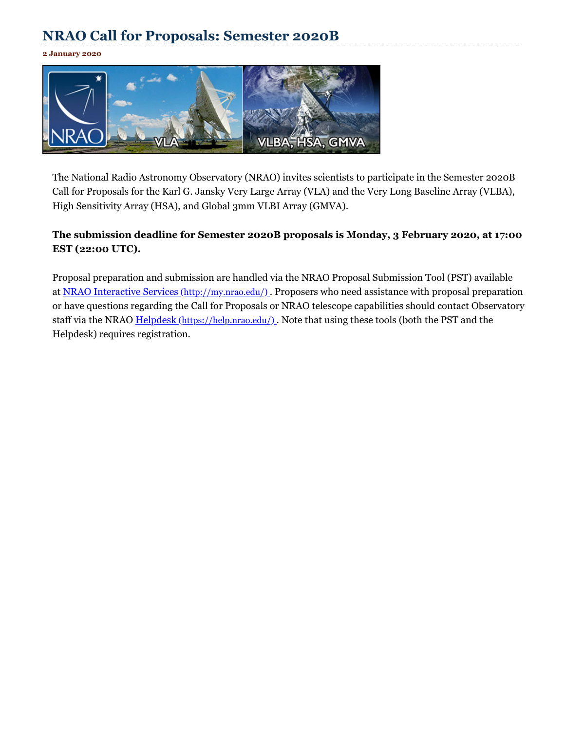## **NRAO Call for Proposals: Semester 2020B**

**2 January 2020**



The National Radio Astronomy Observatory (NRAO) invites scientists to participate in the Semester 2020B Call for Proposals for the Karl G. Jansky Very Large Array (VLA) and the Very Long Baseline Array (VLBA), High Sensitivity Array (HSA), and Global 3mm VLBI Array (GMVA).

## **The submission deadline for Semester 2020B proposals is Monday, 3 February 2020, at 17:00 EST (22:00 UTC).**

Proposal preparation and submission are handled via the NRAO Proposal Submission Tool (PST) available at NRAO Interactive Services [\(http://my.nrao.edu/\)](http://my.nrao.edu/). Proposers who need assistance with proposal preparation or have questions regarding the Call for Proposals or NRAO telescope capabilities should contact Observatory staff via the NRAO Helpdesk [\(https://help.nrao.edu/\)](https://help.nrao.edu/). Note that using these tools (both the PST and the Helpdesk) requires registration.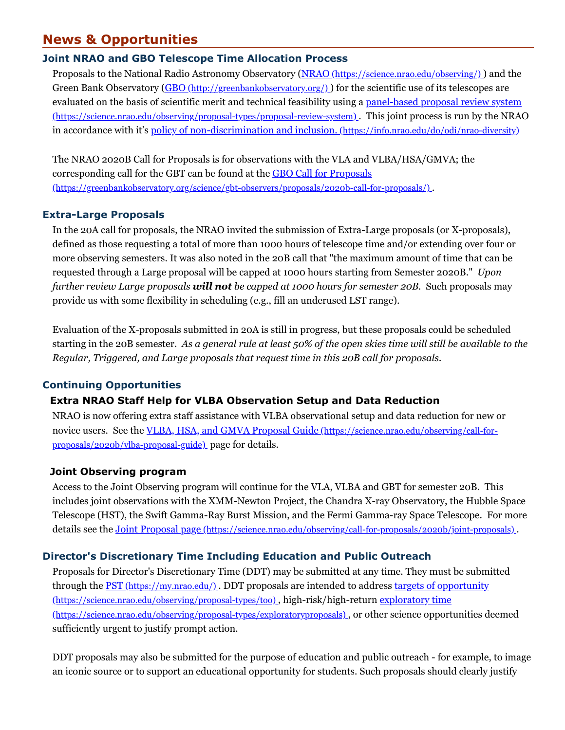## **News & Opportunities**

## **Joint NRAO and GBO Telescope Time Allocation Process**

Proposals to the National Radio Astronomy Observatory (NRAO [\(https://science.nrao.edu/observing/\)](https://science.nrao.edu/observing/) ) and the Green Bank Observatory (GBO [\(http://greenbankobservatory.org/\)](http://greenbankobservatory.org/)) for the scientific use of its telescopes are evaluated on the basis of scientific merit and technical feasibility using a panel-based proposal review system [\(https://science.nrao.edu/observing/proposal-types/proposal-review-system\)](https://science.nrao.edu/observing/proposal-types/proposal-review-system) . This joint process is run by the NRAO in accordance with it's policy of non-discrimination and inclusion. [\(https://info.nrao.edu/do/odi/nrao-diversity\)](https://info.nrao.edu/do/odi/nrao-diversity)

The NRAO 2020B Call for Proposals is for observations with the VLA and VLBA/HSA/GMVA; the corresponding call for the GBT can be found at the GBO Call for Proposals [\(https://greenbankobservatory.org/science/gbt-observers/proposals/2020b-call-for-proposals/\)](https://greenbankobservatory.org/science/gbt-observers/proposals/2020b-call-for-proposals/) .

## **Extra-Large Proposals**

In the 20A call for proposals, the NRAO invited the submission of Extra-Large proposals (or X-proposals), defined as those requesting a total of more than 1000 hours of telescope time and/or extending over four or more observing semesters. It was also noted in the 20B call that "the maximum amount of time that can be requested through a Large proposal will be capped at 1000 hours starting from Semester 2020B." *Upon further review Large proposals will not be capped at 1000 hours for semester 20B.* Such proposals may provide us with some flexibility in scheduling (e.g., fill an underused LST range).

Evaluation of the X-proposals submitted in 20A is still in progress, but these proposals could be scheduled starting in the 20B semester. As a general rule at least 50% of the open skies time will still be available to the *Regular, Triggered, and Large proposals that request time in this 20B call for proposals.*

## **Continuing Opportunities**

## **Extra NRAO Staff Help for VLBA Observation Setup and Data Reduction**

NRAO is now offering extra staff assistance with VLBA observational setup and data reduction for new or novice users. See the VLBA, HSA, and GMVA Proposal Guide [\(https://science.nrao.edu/observing/call-for](https://science.nrao.edu/observing/call-for-proposals/2020b/vlba-proposal-guide)proposals/2020b/vlba-proposal-guide) page for details.

#### **Joint Observing program**

Access to the Joint Observing program will continue for the VLA, VLBA and GBT for semester 20B. This includes joint observations with the XMM-Newton Project, the Chandra X-ray Observatory, the Hubble Space Telescope (HST), the Swift Gamma-Ray Burst Mission, and the Fermi Gamma-ray Space Telescope. For more details see the Joint Proposal page [\(https://science.nrao.edu/observing/call-for-proposals/2020b/joint-proposals\)](https://science.nrao.edu/observing/call-for-proposals/2020b/joint-proposals) .

## **Director's Discretionary Time Including Education and Public Outreach**

Proposals for Director's Discretionary Time (DDT) may be submitted at any time. They must be submitted through the <u>PST (https://my.nrao.edu/</u>). DDT proposals are intended to address targets of opportunity [\(https://science.nrao.edu/observing/proposal-types/too\)](https://science.nrao.edu/observing/proposal-types/too) , high-risk/high-return exploratory time [\(https://science.nrao.edu/observing/proposal-types/exploratoryproposals\)](https://science.nrao.edu/observing/proposal-types/exploratoryproposals) , or other science opportunities deemed sufficiently urgent to justify prompt action.

DDT proposals may also be submitted for the purpose of education and public outreach - for example, to image an iconic source or to support an educational opportunity for students. Such proposals should clearly justify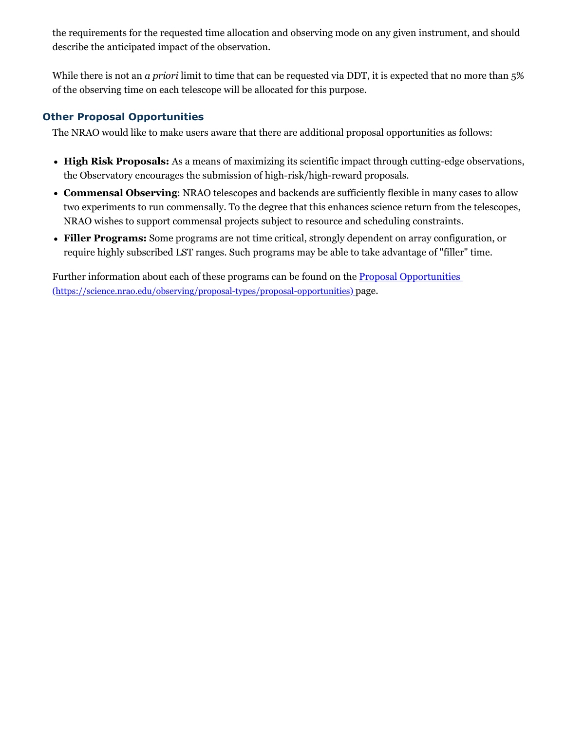the requirements for the requested time allocation and observing mode on any given instrument, and should describe the anticipated impact of the observation.

While there is not an *a priori* limit to time that can be requested via DDT, it is expected that no more than 5% of the observing time on each telescope will be allocated for this purpose.

## **Other Proposal Opportunities**

The NRAO would like to make users aware that there are additional proposal opportunities as follows:

- **High Risk Proposals:** As a means of maximizing its scientific impact through cutting-edge observations, the Observatory encourages the submission of high-risk/high-reward proposals.
- **Commensal Observing**: NRAO telescopes and backends are sufficiently flexible in many cases to allow two experiments to run commensally. To the degree that this enhances science return from the telescopes, NRAO wishes to support commensal projects subject to resource and scheduling constraints.
- **Filler Programs:** Some programs are not time critical, strongly dependent on array configuration, or require highly subscribed LST ranges. Such programs may be able to take advantage of "filler" time.

Further information about each of these programs can be found on the **Proposal Opportunities** [\(https://science.nrao.edu/observing/proposal-types/proposal-opportunities\)](https://science.nrao.edu/observing/proposal-types/proposal-opportunities) page.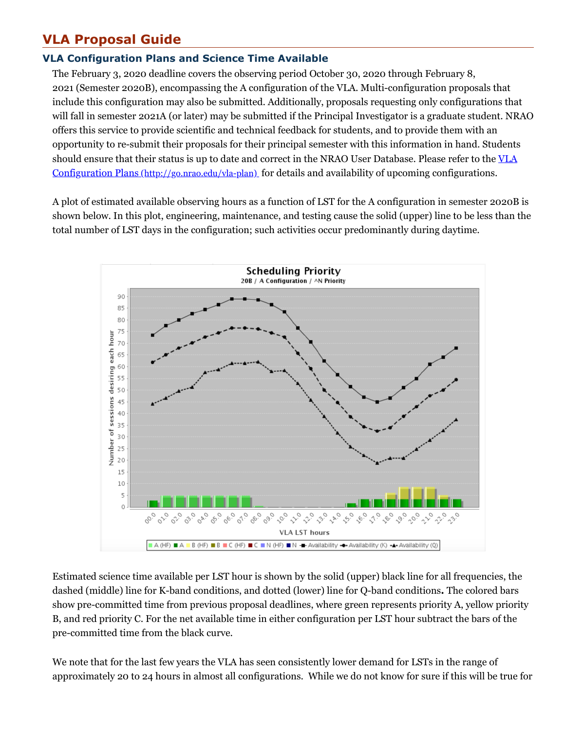# **VLA Proposal Guide**

## **VLA Configuration Plans and Science Time Available**

The February 3, 2020 deadline covers the observing period October 30, 2020 through February 8, 2021 (Semester 2020B), encompassing the A configuration of the VLA. Multi-configuration proposals that include this configuration may also be submitted. Additionally, proposals requesting only configurations that will fall in semester 2021A (or later) may be submitted if the Principal Investigator is a graduate student. NRAO offers this service to provide scientific and technical feedback for students, and to provide them with an opportunity to re-submit their proposals for their principal semester with this information in hand. Students should ensure that their status is up to date and correct in the NRAO User Database. Please refer to the VLA Configuration Plans [\(http://go.nrao.edu/vla-plan\)](http://go.nrao.edu/vla-plan) for details and availability of upcoming configurations.

A plot of estimated available observing hours as a function of LST for the A configuration in semester 2020B is shown below. In this plot, engineering, maintenance, and testing cause the solid (upper) line to be less than the total number of LST days in the configuration; such activities occur predominantly during daytime.



Estimated science time available per LST hour is shown by the solid (upper) black line for all frequencies, the dashed (middle) line for K-band conditions, and dotted (lower) line for Q-band conditions**.** The colored bars show pre-committed time from previous proposal deadlines, where green represents priority A, yellow priority B, and red priority C. For the net available time in either configuration per LST hour subtract the bars of the pre-committed time from the black curve.

We note that for the last few years the VLA has seen consistently lower demand for LSTs in the range of approximately 20 to 24 hours in almost all configurations. While we do not know for sure if this will be true for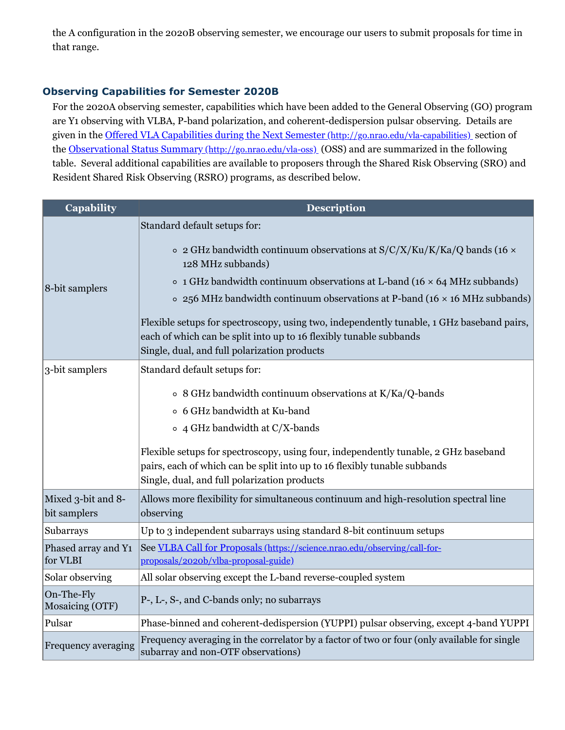the A configuration in the 2020B observing semester, we encourage our users to submit proposals for time in that range.

## **Observing Capabilities for Semester 2020B**

For the 2020A observing semester, capabilities which have been added to the General Observing (GO) program are Y1 observing with VLBA, P-band polarization, and coherent-dedispersion pulsar observing. Details are given in the Offered VLA Capabilities during the Next Semester [\(http://go.nrao.edu/vla-capabilities\)](http://go.nrao.edu/vla-capabilities) section of the Observational Status Summary [\(http://go.nrao.edu/vla-oss\)](http://go.nrao.edu/vla-oss) (OSS) and are summarized in the following table. Several additional capabilities are available to proposers through the Shared Risk Observing (SRO) and Resident Shared Risk Observing (RSRO) programs, as described below.

| <b>Capability</b>                  | Description                                                                                                                                                                                                                                                                                                                                                                                                                                                                                                                                        |
|------------------------------------|----------------------------------------------------------------------------------------------------------------------------------------------------------------------------------------------------------------------------------------------------------------------------------------------------------------------------------------------------------------------------------------------------------------------------------------------------------------------------------------------------------------------------------------------------|
| 8-bit samplers                     | Standard default setups for:<br>$\circ$ 2 GHz bandwidth continuum observations at S/C/X/Ku/K/Ka/Q bands (16 $\times$<br>128 MHz subbands)<br>$\circ$ 1 GHz bandwidth continuum observations at L-band (16 $\times$ 64 MHz subbands)<br>$\circ$ 256 MHz bandwidth continuum observations at P-band (16 $\times$ 16 MHz subbands)<br>Flexible setups for spectroscopy, using two, independently tunable, 1 GHz baseband pairs,<br>each of which can be split into up to 16 flexibly tunable subbands<br>Single, dual, and full polarization products |
| 3-bit samplers                     | Standard default setups for:<br>$\circ$ 8 GHz bandwidth continuum observations at K/Ka/Q-bands<br>○ 6 GHz bandwidth at Ku-band<br>$\circ$ 4 GHz bandwidth at C/X-bands<br>Flexible setups for spectroscopy, using four, independently tunable, 2 GHz baseband<br>pairs, each of which can be split into up to 16 flexibly tunable subbands                                                                                                                                                                                                         |
| Mixed 3-bit and 8-<br>bit samplers | Single, dual, and full polarization products<br>Allows more flexibility for simultaneous continuum and high-resolution spectral line<br>observing                                                                                                                                                                                                                                                                                                                                                                                                  |
| Subarrays                          | Up to 3 independent subarrays using standard 8-bit continuum setups                                                                                                                                                                                                                                                                                                                                                                                                                                                                                |
| Phased array and Y1<br>for VLBI    | See VLBA Call for Proposals (https://science.nrao.edu/observing/call-for-<br>proposals/2020b/vlba-proposal-guide)                                                                                                                                                                                                                                                                                                                                                                                                                                  |
| Solar observing                    | All solar observing except the L-band reverse-coupled system                                                                                                                                                                                                                                                                                                                                                                                                                                                                                       |
| On-The-Fly<br>Mosaicing (OTF)      | P-, L-, S-, and C-bands only; no subarrays                                                                                                                                                                                                                                                                                                                                                                                                                                                                                                         |
| Pulsar                             | Phase-binned and coherent-dedispersion (YUPPI) pulsar observing, except 4-band YUPPI                                                                                                                                                                                                                                                                                                                                                                                                                                                               |
| Frequency averaging                | Frequency averaging in the correlator by a factor of two or four (only available for single<br>subarray and non-OTF observations)                                                                                                                                                                                                                                                                                                                                                                                                                  |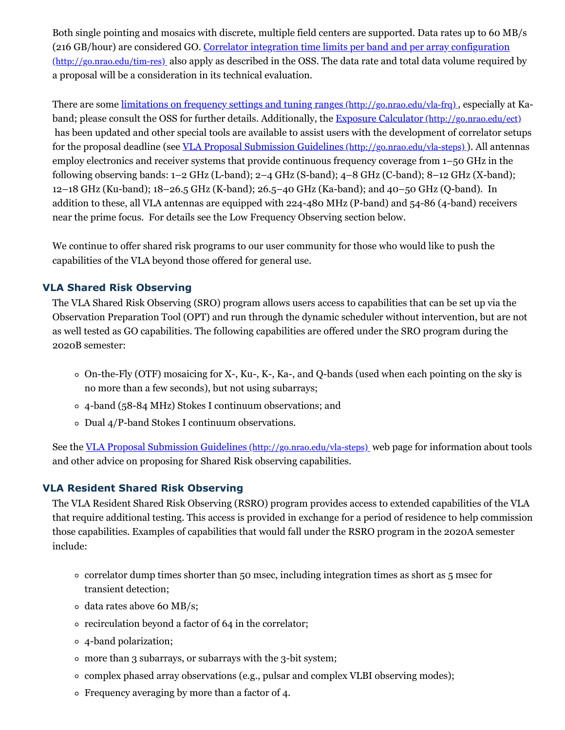Both single pointing and mosaics with discrete, multiple field centers are supported. Data rates up to 60 MB/s (216 GB/hour) are considered GO. Correlator integration time limits per band and per array configuration [\(http://go.nrao.edu/tim-res\)](http://go.nrao.edu/tim-res) also apply as described in the OSS. The data rate and total data volume required by a proposal will be a consideration in its technical evaluation.

There are some limitations on frequency settings and tuning ranges [\(http://go.nrao.edu/vla-frq\)](http://go.nrao.edu/vla-frq) , especially at Ka-band; please consult the OSS for further details. Additionally, the Exposure Calculator [\(http://go.nrao.edu/ect\)](http://go.nrao.edu/ect) has been updated and other special tools are available to assist users with the development of correlator setups for the proposal deadline (see <u>VLA Proposal Submission Guidelines [\(http://go.nrao.edu/vla-steps\)](http://go.nrao.edu/vla-steps)</u>). All antennas employ electronics and receiver systems that provide continuous frequency coverage from 1–50 GHz in the following observing bands: 1–2 GHz (L-band); 2–4 GHz (S-band); 4–8 GHz (C-band); 8–12 GHz (X-band); 12–18 GHz (Ku-band); 18–26.5 GHz (K-band); 26.5–40 GHz (Ka-band); and 40–50 GHz (Q-band). In addition to these, all VLA antennas are equipped with 224-480 MHz (P-band) and 54-86 (4-band) receivers near the prime focus. For details see the Low Frequency Observing section below.

We continue to offer shared risk programs to our user community for those who would like to push the capabilities of the VLA beyond those offered for general use.

## **VLA Shared Risk Observing**

The VLA Shared Risk Observing (SRO) program allows users access to capabilities that can be set up via the Observation Preparation Tool (OPT) and run through the dynamic scheduler without intervention, but are not as well tested as GO capabilities. The following capabilities are offered under the SRO program during the 2020B semester:

- $\circ$  On-the-Fly (OTF) mosaicing for X-, Ku-, K-, Ka-, and Q-bands (used when each pointing on the sky is no more than a few seconds), but not using subarrays;
- 4-band (58-84 MHz) Stokes I continuum observations; and
- Dual 4/P-band Stokes I continuum observations.

See the VLA Proposal Submission Guidelines [\(http://go.nrao.edu/vla-steps\)](http://go.nrao.edu/vla-steps) web page for information about tools and other advice on proposing for Shared Risk observing capabilities.

#### **VLA Resident Shared Risk Observing**

The VLA Resident Shared Risk Observing (RSRO) program provides access to extended capabilities of the VLA that require additional testing. This access is provided in exchange for a period of residence to help commission those capabilities. Examples of capabilities that would fall under the RSRO program in the 2020A semester include:

- correlator dump times shorter than 50 msec, including integration times as short as 5 msec for transient detection;
- data rates above 60 MB/s;
- recirculation beyond a factor of 64 in the correlator;
- 4-band polarization;
- more than 3 subarrays, or subarrays with the 3-bit system;
- $\circ$  complex phased array observations (e.g., pulsar and complex VLBI observing modes);
- Frequency averaging by more than a factor of 4.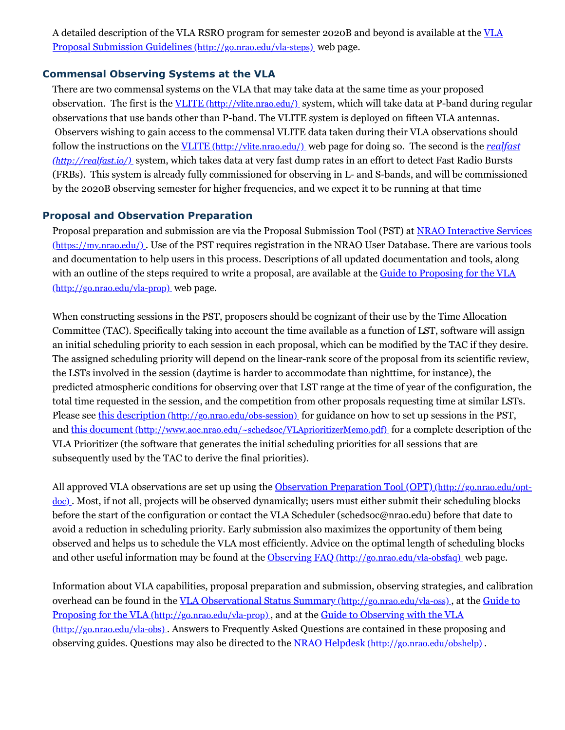A detailed description of the VLA RSRO program for semester 2020B and beyond is available at the VLA Proposal Submission Guidelines [\(http://go.nrao.edu/vla-steps\)](http://go.nrao.edu/vla-steps) web page.

## **Commensal Observing Systems at the VLA**

There are two commensal systems on the VLA that may take data at the same time as your proposed observation. The first is the VLITE [\(http://vlite.nrao.edu/\)](http://vlite.nrao.edu/) system, which will take data at P-band during regular observations that use bands other than P-band. The VLITE system is deployed on fifteen VLA antennas. Observers wishing to gain access to the commensal VLITE data taken during their VLA observations should follow the instructions on the VLITE [\(http://vlite.nrao.edu/\)](http://realfast.io/) web page for doing so. The second is the *realfast (http://realfast.io/)* system, which takes data at very fast dump rates in an effort to detect Fast Radio Bursts (FRBs). This system is already fully commissioned for observing in L- and S-bands, and will be commissioned by the 2020B observing semester for higher frequencies, and we expect it to be running at that time

## **Proposal and Observation Preparation**

Proposal preparation and submission are via the Proposal Submission Tool (PST) at NRAO Interactive Services [\(https://my.nrao.edu/\)](https://my.nrao.edu/) . Use of the PST requires registration in the NRAO User Database. There are various tools and documentation to help users in this process. Descriptions of all updated documentation and tools, along with an outline of the steps required to write a proposal, are available at the Guide to Proposing for the VLA [\(http://go.nrao.edu/vla-prop\)](http://go.nrao.edu/vla-prop) web page.

When constructing sessions in the PST, proposers should be cognizant of their use by the Time Allocation Committee (TAC). Specifically taking into account the time available as a function of LST, software will assign an initial scheduling priority to each session in each proposal, which can be modified by the TAC if they desire. The assigned scheduling priority will depend on the linear-rank score of the proposal from its scientific review, the LSTs involved in the session (daytime is harder to accommodate than nighttime, for instance), the predicted atmospheric conditions for observing over that LST range at the time of year of the configuration, the total time requested in the session, and the competition from other proposals requesting time at similar LSTs. Please see this description [\(http://go.nrao.edu/obs-session\)](http://go.nrao.edu/obs-session) for guidance on how to set up sessions in the PST, and this document [\(http://www.aoc.nrao.edu/~schedsoc/VLAprioritizerMemo.pdf\)](http://www.aoc.nrao.edu/~schedsoc/VLAprioritizerMemo.pdf) for a complete description of the VLA Prioritizer (the software that generates the initial scheduling priorities for all sessions that are subsequently used by the TAC to derive the final priorities).

All approved VLA observations are set up using the Observation Preparation Tool (OPT) [\(http://go.nrao.edu/opt](http://go.nrao.edu/opt-doc)doc). Most, if not all, projects will be observed dynamically; users must either submit their scheduling blocks before the start of the configuration or contact the VLA Scheduler (schedsoc@nrao.edu) before that date to avoid a reduction in scheduling priority. Early submission also maximizes the opportunity of them being observed and helps us to schedule the VLA most efficiently. Advice on the optimal length of scheduling blocks and other useful information may be found at the Observing FAQ [\(http://go.nrao.edu/vla-obsfaq\)](http://go.nrao.edu/vla-obsfaq) web page.

Information about VLA capabilities, proposal preparation and submission, observing strategies, and calibration overhead can be found in the <u>VLA Observational Status Summary [\(http://go.nrao.edu/vla-oss\)](http://go.nrao.edu/vla-oss)</u>, at the Guide to Proposing for the VLA [\(http://go.nrao.edu/vla-prop\)](http://go.nrao.edu/vla-prop) , and at the Guide to Observing with the VLA (http://go.nrao.edu/vla-obs) . Answers to Frequently Asked Questions are contained in these proposing and observing guides. Questions may also be directed to the NRAO Helpdesk [\(http://go.nrao.edu/obshelp\)](http://go.nrao.edu/obshelp).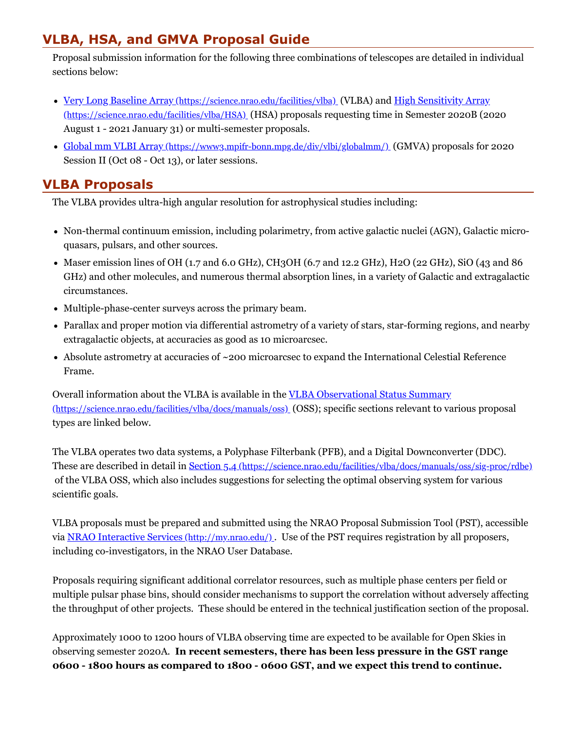# **VLBA, HSA, and GMVA Proposal Guide**

Proposal submission information for the following three combinations of telescopes are detailed in individual sections below:

- Very Long Baseline Array [\(https://science.nrao.edu/facilities/vlba\)](https://science.nrao.edu/facilities/vlba) (VLBA) and High Sensitivity Array [\(https://science.nrao.edu/facilities/vlba/HSA\)](https://science.nrao.edu/facilities/vlba/HSA) (HSA) proposals requesting time in Semester 2020B (2020 August 1 - 2021 January 31) or multi-semester proposals.
- Global mm VLBI Array [\(https://www3.mpifr-bonn.mpg.de/div/vlbi/globalmm/\)](https://www3.mpifr-bonn.mpg.de/div/vlbi/globalmm/) (GMVA) proposals for 2020 Session II (Oct 08 - Oct 13), or later sessions.

## **VLBA Proposals**

The VLBA provides ultra-high angular resolution for astrophysical studies including:

- Non-thermal continuum emission, including polarimetry, from active galactic nuclei (AGN), Galactic microquasars, pulsars, and other sources.
- Maser emission lines of OH (1.7 and 6.0 GHz), CH3OH (6.7 and 12.2 GHz), H2O (22 GHz), SiO (43 and 86 GHz) and other molecules, and numerous thermal absorption lines, in a variety of Galactic and extragalactic circumstances.
- Multiple-phase-center surveys across the primary beam.
- Parallax and proper motion via differential astrometry of a variety of stars, star-forming regions, and nearby extragalactic objects, at accuracies as good as 10 microarcsec.
- Absolute astrometry at accuracies of ~200 microarcsec to expand the International Celestial Reference Frame.

Overall information about the VLBA is available in the VLBA Observational Status Summary [\(https://science.nrao.edu/facilities/vlba/docs/manuals/oss\)](https://science.nrao.edu/facilities/vlba/docs/manuals/oss) (OSS); specific sections relevant to various proposal types are linked below.

The VLBA operates two data systems, a Polyphase Filterbank (PFB), and a Digital Downconverter (DDC). These are described in detail in Section 5.4 [\(https://science.nrao.edu/facilities/vlba/docs/manuals/oss/sig-proc/rdbe\)](https://science.nrao.edu/facilities/vlba/docs/manuals/oss/sig-proc/rdbe) of the VLBA OSS, which also includes suggestions for selecting the optimal observing system for various scientific goals.

VLBA proposals must be prepared and submitted using the NRAO Proposal Submission Tool (PST), accessible via NRAO Interactive Services [\(http://my.nrao.edu/\)](http://my.nrao.edu/) . Use of the PST requires registration by all proposers, including co-investigators, in the NRAO User Database.

Proposals requiring significant additional correlator resources, such as multiple phase centers per field or multiple pulsar phase bins, should consider mechanisms to support the correlation without adversely affecting the throughput of other projects. These should be entered in the technical justification section of the proposal.

Approximately 1000 to 1200 hours of VLBA observing time are expected to be available for Open Skies in observing semester 2020A. **In recent semesters, there has been less pressure in the GST range 0600 - 1800 hours as compared to 1800 - 0600 GST, and we expect this trend to continue.**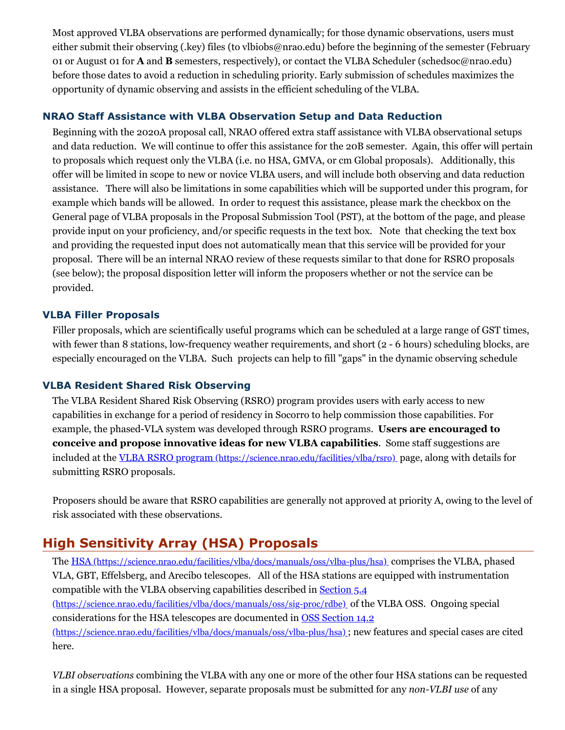Most approved VLBA observations are performed dynamically; for those dynamic observations, users must either submit their observing (.key) files (to vlbiobs@nrao.edu) before the beginning of the semester (February 01 or August 01 for **A** and **B** semesters, respectively), or contact the VLBA Scheduler (schedsoc@nrao.edu) before those dates to avoid a reduction in scheduling priority. Early submission of schedules maximizes the opportunity of dynamic observing and assists in the efficient scheduling of the VLBA.

## **NRAO Staff Assistance with VLBA Observation Setup and Data Reduction**

Beginning with the 2020A proposal call, NRAO offered extra staff assistance with VLBA observational setups and data reduction. We will continue to offer this assistance for the 20B semester. Again, this offer will pertain to proposals which request only the VLBA (i.e. no HSA, GMVA, or cm Global proposals). Additionally, this offer will be limited in scope to new or novice VLBA users, and will include both observing and data reduction assistance. There will also be limitations in some capabilities which will be supported under this program, for example which bands will be allowed. In order to request this assistance, please mark the checkbox on the General page of VLBA proposals in the Proposal Submission Tool (PST), at the bottom of the page, and please provide input on your proficiency, and/or specific requests in the text box. Note that checking the text box and providing the requested input does not automatically mean that this service will be provided for your proposal. There will be an internal NRAO review of these requests similar to that done for RSRO proposals (see below); the proposal disposition letter will inform the proposers whether or not the service can be provided.

## **VLBA Filler Proposals**

Filler proposals, which are scientifically useful programs which can be scheduled at a large range of GST times, with fewer than 8 stations, low-frequency weather requirements, and short (2 - 6 hours) scheduling blocks, are especially encouraged on the VLBA. Such projects can help to fill "gaps" in the dynamic observing schedule

## **VLBA Resident Shared Risk Observing**

The VLBA Resident Shared Risk Observing (RSRO) program provides users with early access to new capabilities in exchange for a period of residency in Socorro to help commission those capabilities. For example, the phased-VLA system was developed through RSRO programs. **Users are encouraged to conceive and propose innovative ideas for new VLBA capabilities**. Some staff suggestions are included at the VLBA RSRO program [\(https://science.nrao.edu/facilities/vlba/rsro\)](https://science.nrao.edu/facilities/vlba/rsro) page, along with details for submitting RSRO proposals.

Proposers should be aware that RSRO capabilities are generally not approved at priority A, owing to the level of risk associated with these observations.

# **High Sensitivity Array (HSA) Proposals**

The HSA [\(https://science.nrao.edu/facilities/vlba/docs/manuals/oss/vlba-plus/hsa\)](https://science.nrao.edu/facilities/vlba/docs/manuals/oss/vlba-plus/hsa) comprises the VLBA, phased VLA, GBT, Effelsberg, and Arecibo telescopes. All of the HSA stations are equipped with instrumentation compatible with the VLBA observing capabilities described in Section 5.4 [\(https://science.nrao.edu/facilities/vlba/docs/manuals/oss/sig-proc/rdbe\)](https://science.nrao.edu/facilities/vlba/docs/manuals/oss/sig-proc/rdbe) of the VLBA OSS. Ongoing special considerations for the HSA telescopes are documented in OSS Section 14.2 [\(https://science.nrao.edu/facilities/vlba/docs/manuals/oss/vlba-plus/hsa\)](https://science.nrao.edu/facilities/vlba/docs/manuals/oss/vlba-plus/hsa) ; new features and special cases are cited here.

*VLBI observations* combining the VLBA with any one or more of the other four HSA stations can be requested in a single HSA proposal. However, separate proposals must be submitted for any *non-VLBI use* of any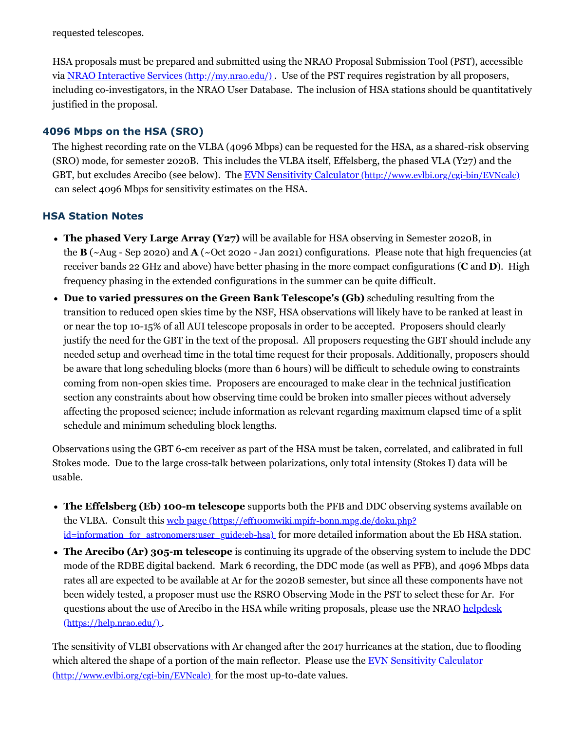requested telescopes.

HSA proposals must be prepared and submitted using the NRAO Proposal Submission Tool (PST), accessible via NRAO Interactive Services [\(http://my.nrao.edu/\)](http://my.nrao.edu/) . Use of the PST requires registration by all proposers, including co-investigators, in the NRAO User Database. The inclusion of HSA stations should be quantitatively justified in the proposal.

## **4096 Mbps on the HSA (SRO)**

The highest recording rate on the VLBA (4096 Mbps) can be requested for the HSA, as a shared-risk observing (SRO) mode, for semester 2020B. This includes the VLBA itself, Effelsberg, the phased VLA (Y27) and the GBT, but excludes Arecibo (see below). The EVN Sensitivity Calculator [\(http://www.evlbi.org/cgi-bin/EVNcalc\)](http://www.evlbi.org/cgi-bin/EVNcalc). can select 4096 Mbps for sensitivity estimates on the HSA.

## **HSA Station Notes**

- **The phased Very Large Array (Y27)** will be available for HSA observing in Semester 2020B, in the **B** (~Aug - Sep 2020) and **A** (~Oct 2020 - Jan 2021) configurations. Please note that high frequencies (at receiver bands 22 GHz and above) have better phasing in the more compact configurations (**C** and **D**). High frequency phasing in the extended configurations in the summer can be quite difficult.
- **Due to varied pressures on the Green Bank Telescope's (Gb)** scheduling resulting from the transition to reduced open skies time by the NSF, HSA observations will likely have to be ranked at least in or near the top 10-15% of all AUI telescope proposals in order to be accepted. Proposers should clearly justify the need for the GBT in the text of the proposal. All proposers requesting the GBT should include any needed setup and overhead time in the total time request for their proposals. Additionally, proposers should be aware that long scheduling blocks (more than 6 hours) will be difficult to schedule owing to constraints coming from non-open skies time. Proposers are encouraged to make clear in the technical justification section any constraints about how observing time could be broken into smaller pieces without adversely affecting the proposed science; include information as relevant regarding maximum elapsed time of a split schedule and minimum scheduling block lengths.

Observations using the GBT 6-cm receiver as part of the HSA must be taken, correlated, and calibrated in full Stokes mode. Due to the large cross-talk between polarizations, only total intensity (Stokes I) data will be usable.

- **The Effelsberg (Eb) 100-m telescope** supports both the PFB and DDC observing systems available on the VLBA. Consult this web page (https://eff100mwiki.mpifr-bonn.mpg.de/doku.php?) id=information for astronomers:user guide:eb-hsa) for more detailed information about the Eb HSA station.
- **The Arecibo (Ar) 305-m telescope** is continuing its upgrade of the observing system to include the DDC mode of the RDBE digital backend. Mark 6 recording, the DDC mode (as well as PFB), and 4096 Mbps data rates all are expected to be available at Ar for the 2020B semester, but since all these components have not been widely tested, a proposer must use the RSRO Observing Mode in the PST to select these for Ar. For questions about the use of Arecibo in the HSA while writing proposals, please use the NRAO helpdesk [\(https://help.nrao.edu/\)](https://help.nrao.edu/) .

The sensitivity of VLBI observations with Ar changed after the 2017 hurricanes at the station, due to flooding which altered the shape of a portion of the main reflector. Please use the EVN Sensitivity Calculator [\(http://www.evlbi.org/cgi-bin/EVNcalc\)](http://www.evlbi.org/cgi-bin/EVNcalc) for the most up-to-date values.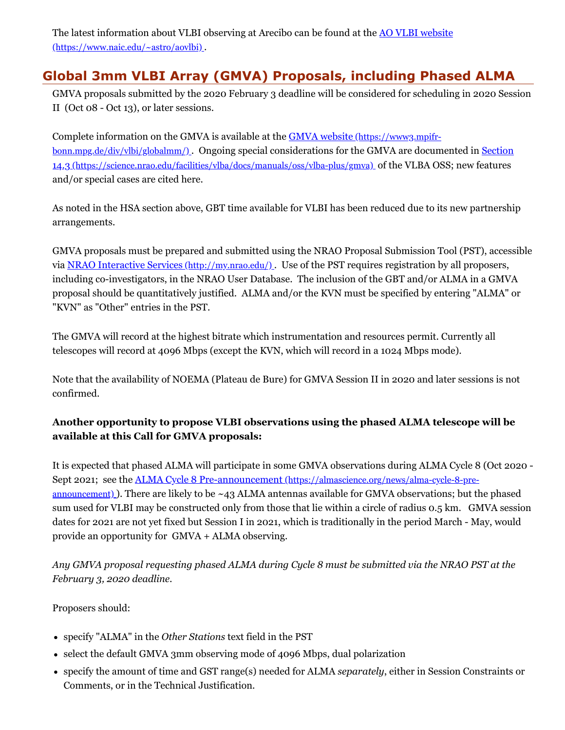The latest information about VLBI observing at Arecibo can be found at the **AO VLBI** website [\(https://www.naic.edu/~astro/aovlbi\)](https://www.naic.edu/~astro/aovlbi) .

# **Global 3mm VLBI Array (GMVA) Proposals, including Phased ALMA**

GMVA proposals submitted by the 2020 February 3 deadline will be considered for scheduling in 2020 Session II (Oct 08 - Oct 13), or later sessions.

Complete information on the GMVA is available at the **GMVA** website (https://www3.mpifr[bonn.mpg.de/div/vlbi/globalmm/\)](https://www3.mpifr-bonn.mpg.de/div/vlbi/globalmm/) . Ongoing special considerations for the GMVA are documented in Section 14.3 [\(https://science.nrao.edu/facilities/vlba/docs/manuals/oss/vlba-plus/gmva\)](https://science.nrao.edu/facilities/vlba/docs/manuals/oss/vlba-plus/gmva) of the VLBA OSS; new features and/or special cases are cited here.

As noted in the HSA section above, GBT time available for VLBI has been reduced due to its new partnership arrangements.

GMVA proposals must be prepared and submitted using the NRAO Proposal Submission Tool (PST), accessible via NRAO Interactive Services [\(http://my.nrao.edu/\)](http://my.nrao.edu/) . Use of the PST requires registration by all proposers, including co-investigators, in the NRAO User Database. The inclusion of the GBT and/or ALMA in a GMVA proposal should be quantitatively justified. ALMA and/or the KVN must be specified by entering "ALMA" or "KVN" as "Other" entries in the PST.

The GMVA will record at the highest bitrate which instrumentation and resources permit. Currently all telescopes will record at 4096 Mbps (except the KVN, which will record in a 1024 Mbps mode).

Note that the availability of NOEMA (Plateau de Bure) for GMVA Session II in 2020 and later sessions is not confirmed.

## **Another opportunity to propose VLBI observations using the phased ALMA telescope will be available at this Call for GMVA proposals:**

It is expected that phased ALMA will participate in some GMVA observations during ALMA Cycle 8 (Oct 2020 - Sept 2021; see the ALMA Cycle 8 Pre-announcement [\(https://almascience.org/news/alma-cycle-8-pre](https://almascience.org/news/alma-cycle-8-pre-announcement)announcement). There are likely to be  $\sim$ 43 ALMA antennas available for GMVA observations; but the phased sum used for VLBI may be constructed only from those that lie within a circle of radius 0.5 km. GMVA session dates for 2021 are not yet fixed but Session I in 2021, which is traditionally in the period March - May, would provide an opportunity for GMVA + ALMA observing.

*Any GMVA proposal requesting phased ALMA during Cycle 8 must be submitted via the NRAO PST at the February 3, 2020 deadline.*

Proposers should:

- specify "ALMA" in the *Other Stations* text field in the PST
- select the default GMVA 3mm observing mode of 4096 Mbps, dual polarization
- specify the amount of time and GST range(s) needed for ALMA *separately*, either in Session Constraints or Comments, or in the Technical Justification.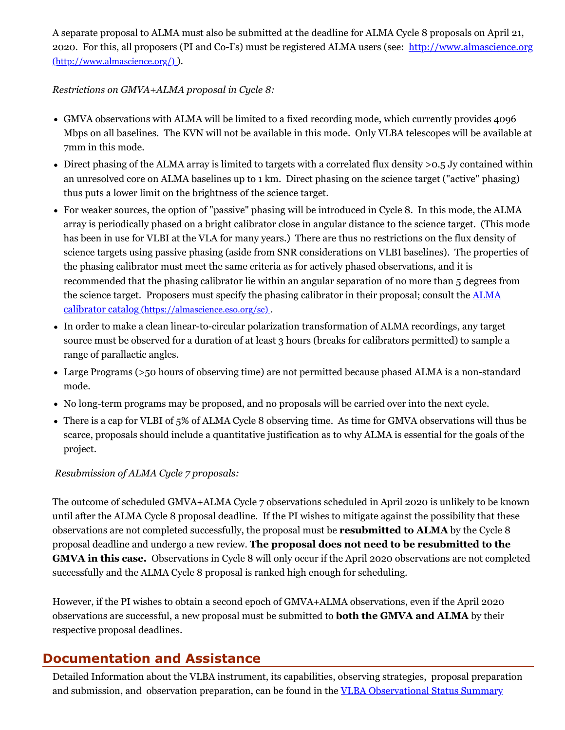A separate proposal to ALMA must also be submitted at the deadline for ALMA Cycle 8 proposals on April 21, 2020. For this, all proposers (PI and Co-I's) must be registered ALMA users (see: [http://www.almascience.org](http://www.almascience.org/) (http://www.almascience.org/) ).

*Restrictions on GMVA+ALMA proposal in Cycle 8:*

- GMVA observations with ALMA will be limited to a fixed recording mode, which currently provides 4096 Mbps on all baselines. The KVN will not be available in this mode. Only VLBA telescopes will be available at 7mm in this mode.
- Direct phasing of the ALMA array is limited to targets with a correlated flux density >0.5 Jy contained within an unresolved core on ALMA baselines up to 1 km. Direct phasing on the science target ("active" phasing) thus puts a lower limit on the brightness of the science target.
- For weaker sources, the option of "passive" phasing will be introduced in Cycle 8. In this mode, the ALMA array is periodically phased on a bright calibrator close in angular distance to the science target. (This mode has been in use for VLBI at the VLA for many years.) There are thus no restrictions on the flux density of science targets using passive phasing (aside from SNR considerations on VLBI baselines). The properties of the phasing calibrator must meet the same criteria as for actively phased observations, and it is recommended that the phasing calibrator lie within an angular separation of no more than 5 degrees from the science target. Proposers must specify the phasing calibrator in their proposal; consult the **ALMA** calibrator catalog [\(https://almascience.eso.org/sc\)](https://almascience.eso.org/sc) .
- In order to make a clean linear-to-circular polarization transformation of ALMA recordings, any target source must be observed for a duration of at least 3 hours (breaks for calibrators permitted) to sample a range of parallactic angles.
- Large Programs (>50 hours of observing time) are not permitted because phased ALMA is a non-standard mode.
- No long-term programs may be proposed, and no proposals will be carried over into the next cycle.
- There is a cap for VLBI of 5% of ALMA Cycle 8 observing time. As time for GMVA observations will thus be scarce, proposals should include a quantitative justification as to why ALMA is essential for the goals of the project.

## *Resubmission of ALMA Cycle 7 proposals:*

The outcome of scheduled GMVA+ALMA Cycle 7 observations scheduled in April 2020 is unlikely to be known until after the ALMA Cycle 8 proposal deadline. If the PI wishes to mitigate against the possibility that these observations are not completed successfully, the proposal must be **resubmitted to ALMA** by the Cycle 8 proposal deadline and undergo a new review. **The proposal does not need to be resubmitted to the GMVA in this case.** Observations in Cycle 8 will only occur if the April 2020 observations are not completed successfully and the ALMA Cycle 8 proposal is ranked high enough for scheduling.

However, if the PI wishes to obtain a second epoch of GMVA+ALMA observations, even if the April 2020 observations are successful, a new proposal must be submitted to **both the GMVA and ALMA** by their respective proposal deadlines.

## **Documentation and Assistance**

Detailed Information about the VLBA instrument, its capabilities, observing strategies, proposal preparation and submission, and observation preparation, can be found in the VLBA [Observational](http://go.nrao.edu/vlba-oss) Status Summary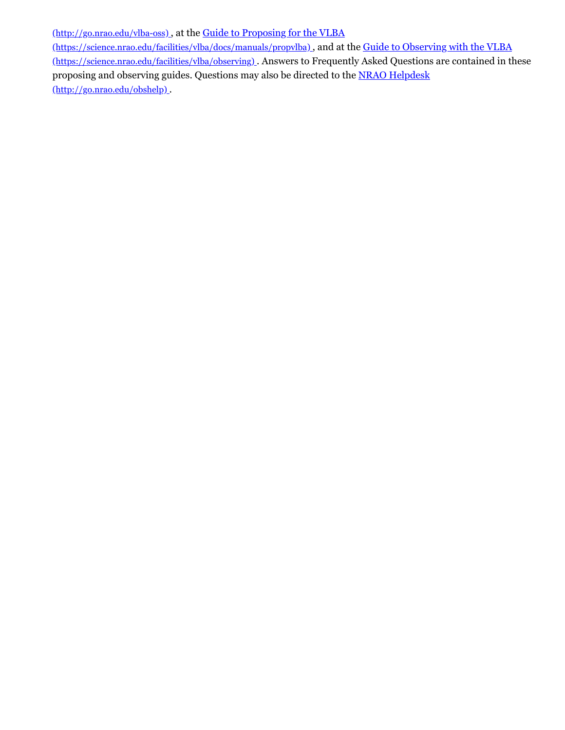[\(http://go.nrao.edu/vlba-oss\)](http://go.nrao.edu/vlba-oss) , at the Guide to Proposing for the VLBA

[\(https://science.nrao.edu/facilities/vlba/docs/manuals/propvlba\)](https://science.nrao.edu/facilities/vlba/docs/manuals/propvlba) , and at the Guide to Observing with the VLBA (https://science.nrao.edu/facilities/vlba/observing) . Answers to Frequently Asked Questions are contained in these proposing and observing guides. Questions may also be directed to the NRAO Helpdesk [\(http://go.nrao.edu/obshelp\)](http://go.nrao.edu/obshelp) .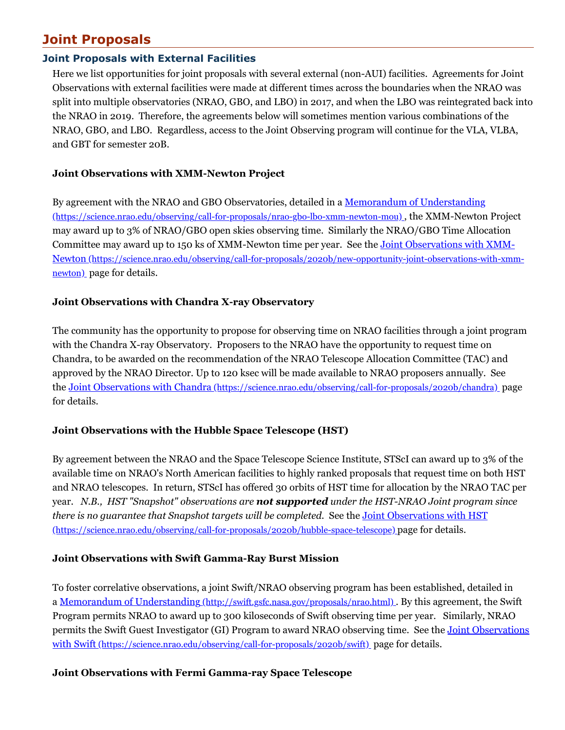# **Joint Proposals**

## **Joint Proposals with External Facilities**

Here we list opportunities for joint proposals with several external (non-AUI) facilities. Agreements for Joint Observations with external facilities were made at different times across the boundaries when the NRAO was split into multiple observatories (NRAO, GBO, and LBO) in 2017, and when the LBO was reintegrated back into the NRAO in 2019. Therefore, the agreements below will sometimes mention various combinations of the NRAO, GBO, and LBO. Regardless, access to the Joint Observing program will continue for the VLA, VLBA, and GBT for semester 20B.

### **Joint Observations with XMM-Newton Project**

By agreement with the NRAO and GBO Observatories, detailed in a <u>Memorandum of Understanding</u> [\(https://science.nrao.edu/observing/call-for-proposals/nrao-gbo-lbo-xmm-newton-mou\)](https://science.nrao.edu/observing/call-for-proposals/nrao-gbo-lbo-xmm-newton-mou) , the XMM-Newton Project may award up to 3% of NRAO/GBO open skies observing time. Similarly the NRAO/GBO Time Allocation Committee may award up to 150 ks of XMM-Newton time per year. See the Joint Observations with XMM-Newton [\(https://science.nrao.edu/observing/call-for-proposals/2020b/new-opportunity-joint-observations-with-xmm](https://science.nrao.edu/observing/call-for-proposals/2020b/new-opportunity-joint-observations-with-xmm-newton)newton) page for details.

## **Joint Observations with Chandra X-ray Observatory**

The community has the opportunity to propose for observing time on NRAO facilities through a joint program with the Chandra X-ray Observatory. Proposers to the NRAO have the opportunity to request time on Chandra, to be awarded on the recommendation of the NRAO Telescope Allocation Committee (TAC) and approved by the NRAO Director. Up to 120 ksec will be made available to NRAO proposers annually. See the Joint Observations with Chandra [\(https://science.nrao.edu/observing/call-for-proposals/2020b/chandra\)](https://science.nrao.edu/observing/call-for-proposals/2020b/chandra) page for details.

## **Joint Observations with the Hubble Space Telescope (HST)**

By agreement between the NRAO and the Space Telescope Science Institute, STScI can award up to 3% of the available time on NRAO's North American facilities to highly ranked proposals that request time on both HST and NRAO telescopes. In return, STScI has offered 30 orbits of HST time for allocation by the NRAO TAC per year. *N.B., HST "Snapshot" observations are not supported under the HST-NRAO Joint program since there is no guarantee that Snapshot targets will be completed.* See the Joint Observations with HST [\(https://science.nrao.edu/observing/call-for-proposals/2020b/hubble-space-telescope\)](https://science.nrao.edu/observing/call-for-proposals/2020b/hubble-space-telescope) page for details.

#### **Joint Observations with Swift Gamma-Ray Burst Mission**

To foster correlative observations, a joint Swift/NRAO observing program has been established, detailed in a Memorandum of Understanding [\(http://swift.gsfc.nasa.gov/proposals/nrao.html\)](http://swift.gsfc.nasa.gov/proposals/nrao.html) . By this agreement, the Swift Program permits NRAO to award up to 300 kiloseconds of Swift observing time per year. Similarly, NRAO permits the Swift Guest Investigator (GI) Program to award NRAO observing time. See the Joint Observations with Swift [\(https://science.nrao.edu/observing/call-for-proposals/2020b/swift\)](https://science.nrao.edu/observing/call-for-proposals/2020b/swift) page for details.

#### **Joint Observations with Fermi Gamma-ray Space Telescope**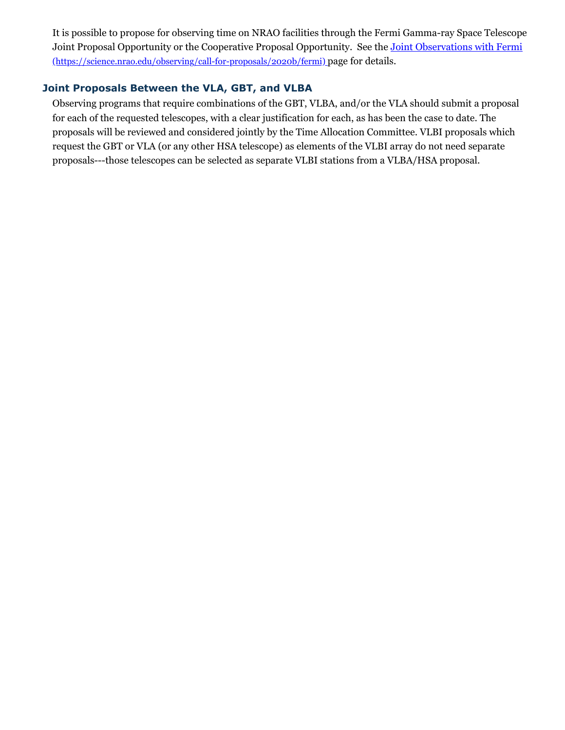It is possible to propose for observing time on NRAO facilities through the Fermi Gamma-ray Space Telescope Joint Proposal Opportunity or the Cooperative Proposal Opportunity. See the Joint Observations with Fermi [\(https://science.nrao.edu/observing/call-for-proposals/2020b/fermi\)](https://science.nrao.edu/observing/call-for-proposals/2020b/fermi) page for details.

## **Joint Proposals Between the VLA, GBT, and VLBA**

Observing programs that require combinations of the GBT, VLBA, and/or the VLA should submit a proposal for each of the requested telescopes, with a clear justification for each, as has been the case to date. The proposals will be reviewed and considered jointly by the Time Allocation Committee. VLBI proposals which request the GBT or VLA (or any other HSA telescope) as elements of the VLBI array do not need separate proposals---those telescopes can be selected as separate VLBI stations from a VLBA/HSA proposal.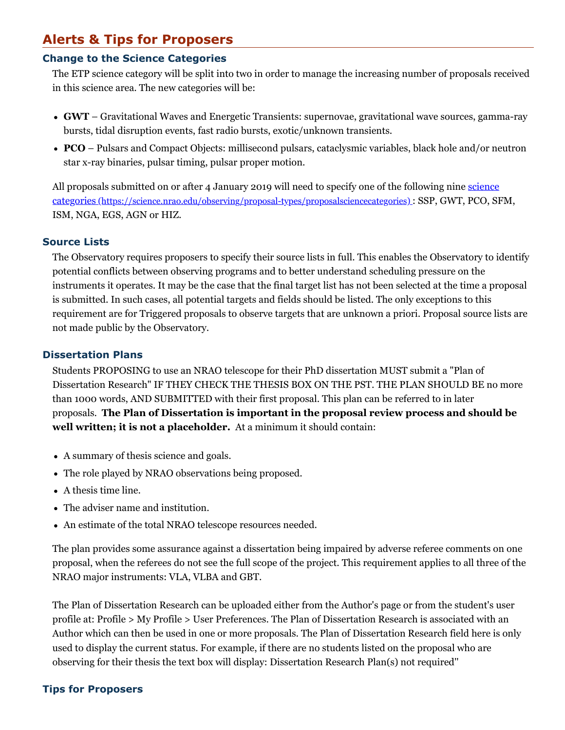# **Alerts & Tips for Proposers**

## **Change to the Science Categories**

The ETP science category will be split into two in order to manage the increasing number of proposals received in this science area. The new categories will be:

- **GWT** Gravitational Waves and Energetic Transients: supernovae, gravitational wave sources, gamma-ray bursts, tidal disruption events, fast radio bursts, exotic/unknown transients.
- **PCO** Pulsars and Compact Objects: millisecond pulsars, cataclysmic variables, black hole and/or neutron star x-ray binaries, pulsar timing, pulsar proper motion.

All proposals submitted on or after 4 January 2019 will need to specify one of the following nine science categories [\(https://science.nrao.edu/observing/proposal-types/proposalsciencecategories\)](https://science.nrao.edu/observing/proposal-types/proposalsciencecategories) : SSP, GWT, PCO, SFM, ISM, NGA, EGS, AGN or HIZ.

#### **Source Lists**

The Observatory requires proposers to specify their source lists in full. This enables the Observatory to identify potential conflicts between observing programs and to better understand scheduling pressure on the instruments it operates. It may be the case that the final target list has not been selected at the time a proposal is submitted. In such cases, all potential targets and fields should be listed. The only exceptions to this requirement are for Triggered proposals to observe targets that are unknown a priori. Proposal source lists are not made public by the Observatory.

#### **Dissertation Plans**

Students PROPOSING to use an NRAO telescope for their PhD dissertation MUST submit a "Plan of Dissertation Research" IF THEY CHECK THE THESIS BOX ON THE PST. THE PLAN SHOULD BE no more than 1000 words, AND SUBMITTED with their first proposal. This plan can be referred to in later proposals. **The Plan of Dissertation is important in the proposal review process and should be well written; it is not a placeholder.** At a minimum it should contain:

- A summary of thesis science and goals.
- The role played by NRAO observations being proposed.
- A thesis time line.
- The adviser name and institution.
- An estimate of the total NRAO telescope resources needed.

The plan provides some assurance against a dissertation being impaired by adverse referee comments on one proposal, when the referees do not see the full scope of the project. This requirement applies to all three of the NRAO major instruments: VLA, VLBA and GBT.

The Plan of Dissertation Research can be uploaded either from the Author's page or from the student's user profile at: Profile > My Profile > User Preferences. The Plan of Dissertation Research is associated with an Author which can then be used in one or more proposals. The Plan of Dissertation Research field here is only used to display the current status. For example, if there are no students listed on the proposal who are observing for their thesis the text box will display: Dissertation Research Plan(s) not required''

#### **Tips for Proposers**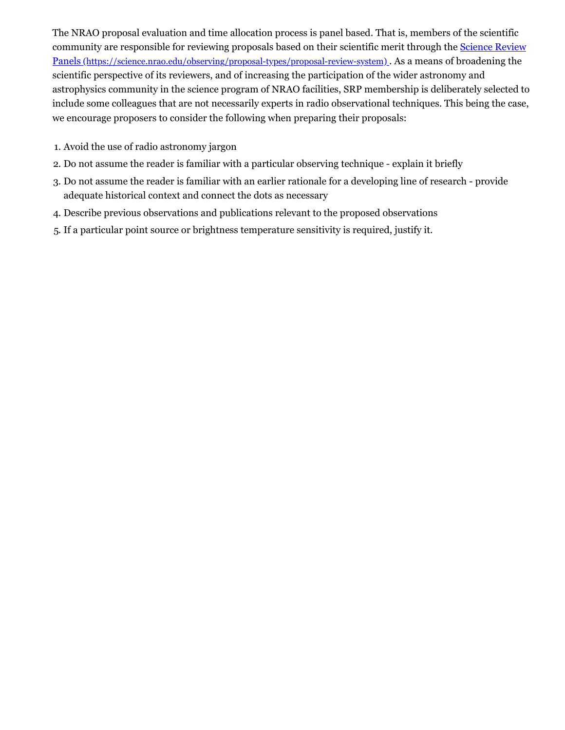The NRAO proposal evaluation and time allocation process is panel based. That is, members of the scientific community are responsible for reviewing proposals based on their scientific merit through the **Science Review** Panels [\(https://science.nrao.edu/observing/proposal-types/proposal-review-system\)](https://science.nrao.edu/observing/proposal-types/proposal-review-system) . As a means of broadening the scientific perspective of its reviewers, and of increasing the participation of the wider astronomy and astrophysics community in the science program of NRAO facilities, SRP membership is deliberately selected to include some colleagues that are not necessarily experts in radio observational techniques. This being the case, we encourage proposers to consider the following when preparing their proposals:

- 1. Avoid the use of radio astronomy jargon
- 2. Do not assume the reader is familiar with a particular observing technique explain it briefly
- 3. Do not assume the reader is familiar with an earlier rationale for a developing line of research provide adequate historical context and connect the dots as necessary
- 4. Describe previous observations and publications relevant to the proposed observations
- 5. If a particular point source or brightness temperature sensitivity is required, justify it.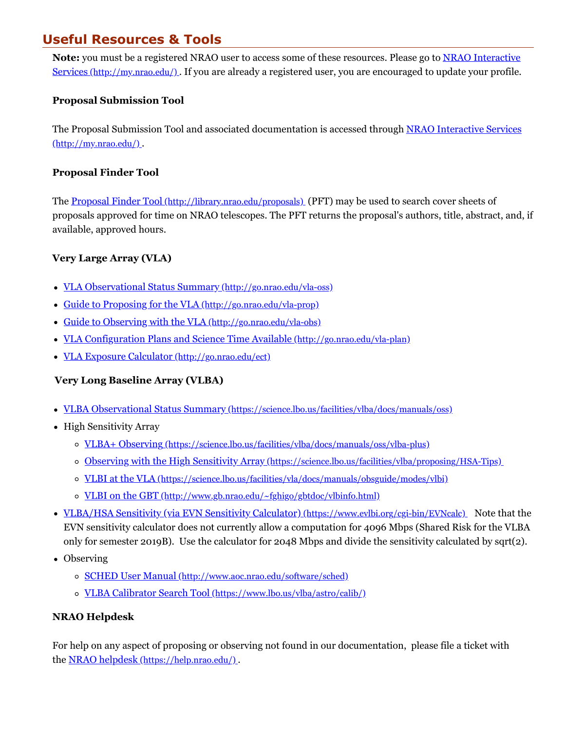# **Useful Resources & Tools**

**Note:** you must be a registered NRAO user to access some of these resources. Please go to NRAO Interactive Services [\(http://my.nrao.edu/\)](http://my.nrao.edu/) . If you are already a registered user, you are encouraged to update your profile.

### **Proposal Submission Tool**

The Proposal Submission Tool and associated documentation is accessed through NRAO Interactive Services [\(http://my.nrao.edu/\)](http://my.nrao.edu/) .

#### **Proposal Finder Tool**

The Proposal Finder Tool [\(http://library.nrao.edu/proposals\)](http://library.nrao.edu/proposals) (PFT) may be used to search cover sheets of proposals approved for time on NRAO telescopes. The PFT returns the proposal's authors, title, abstract, and, if available, approved hours.

## **Very Large Array (VLA)**

- VLA Observational Status Summary [\(http://go.nrao.edu/vla-oss\)](http://go.nrao.edu/vla-oss)
- Guide to Proposing for the VLA [\(http://go.nrao.edu/vla-prop\)](http://go.nrao.edu/vla-prop)
- Guide to Observing with the VLA [\(http://go.nrao.edu/vla-obs\)](http://go.nrao.edu/vla-obs)
- VLA Configuration Plans and Science Time Available [\(http://go.nrao.edu/vla-plan\)](http://go.nrao.edu/vla-plan)
- VLA Exposure Calculator [\(http://go.nrao.edu/ect\)](http://go.nrao.edu/ect)

## **Very Long Baseline Array (VLBA)**

- VLBA Observational Status Summary [\(https://science.lbo.us/facilities/vlba/docs/manuals/oss\)](https://science.lbo.us/facilities/vlba/docs/manuals/oss)
- High Sensitivity Array
	- VLBA+ Observing [\(https://science.lbo.us/facilities/vlba/docs/manuals/oss/vlba-plus\)](https://science.lbo.us/facilities/vlba/docs/manuals/oss/vlba-plus)
	- Observing with the High Sensitivity Array [\(https://science.lbo.us/facilities/vlba/proposing/HSA-Tips\)](https://science.lbo.us/facilities/vlba/proposing/HSA-Tips)
	- VLBI at the VLA [\(https://science.lbo.us/facilities/vla/docs/manuals/obsguide/modes/vlbi\)](https://science.lbo.us/facilities/vla/docs/manuals/obsguide/modes/vlbi)
	- o <u>VLBI on the GBT [\(http://www.gb.nrao.edu/~fghigo/gbtdoc/vlbinfo.html\)](http://www.gb.nrao.edu/~fghigo/gbtdoc/vlbinfo.html)</u>
- VLBA/HSA Sensitivity (via EVN Sensitivity Calculator) [\(https://www.evlbi.org/cgi-bin/EVNcalc\)](https://www.evlbi.org/cgi-bin/EVNcalc) Note that the EVN sensitivity calculator does not currently allow a computation for 4096 Mbps (Shared Risk for the VLBA only for semester 2019B). Use the calculator for 2048 Mbps and divide the sensitivity calculated by sqrt(2).
- Observing
	- SCHED User Manual [\(http://www.aoc.nrao.edu/software/sched\)](http://www.aoc.nrao.edu/software/sched)
	- VLBA Calibrator Search Tool [\(https://www.lbo.us/vlba/astro/calib/\)](https://www.lbo.us/vlba/astro/calib/)

## **NRAO Helpdesk**

For help on any aspect of proposing or observing not found in our documentation, please file a ticket with the NRAO helpdesk [\(https://help.nrao.edu/\)](https://help.nrao.edu/) .